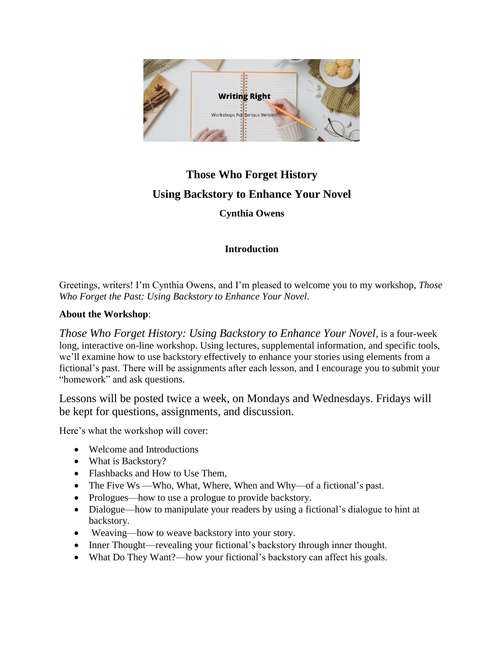

## **Those Who Forget History Using Backstory to Enhance Your Novel**

**Cynthia Owens**

## **Introduction**

Greetings, writers! I'm Cynthia Owens, and I'm pleased to welcome you to my workshop, *Those Who Forget the Past: Using Backstory to Enhance Your Novel*.

## **About the Workshop**:

*Those Who Forget History: Using Backstory to Enhance Your Novel*, is a four-week long, interactive on-line workshop. Using lectures, supplemental information, and specific tools, we'll examine how to use backstory effectively to enhance your stories using elements from a fictional's past. There will be assignments after each lesson, and I encourage you to submit your "homework" and ask questions.

Lessons will be posted twice a week, on Mondays and Wednesdays. Fridays will be kept for questions, assignments, and discussion.

Here's what the workshop will cover:

- Welcome and Introductions
- What is Backstory?
- Flashbacks and How to Use Them.
- The Five Ws —Who, What, Where, When and Why—of a fictional's past.
- Prologues—how to use a prologue to provide backstory.
- Dialogue—how to manipulate your readers by using a fictional's dialogue to hint at backstory.
- Weaving—how to weave backstory into your story.
- Inner Thought—revealing your fictional's backstory through inner thought.
- What Do They Want?—how your fictional's backstory can affect his goals.